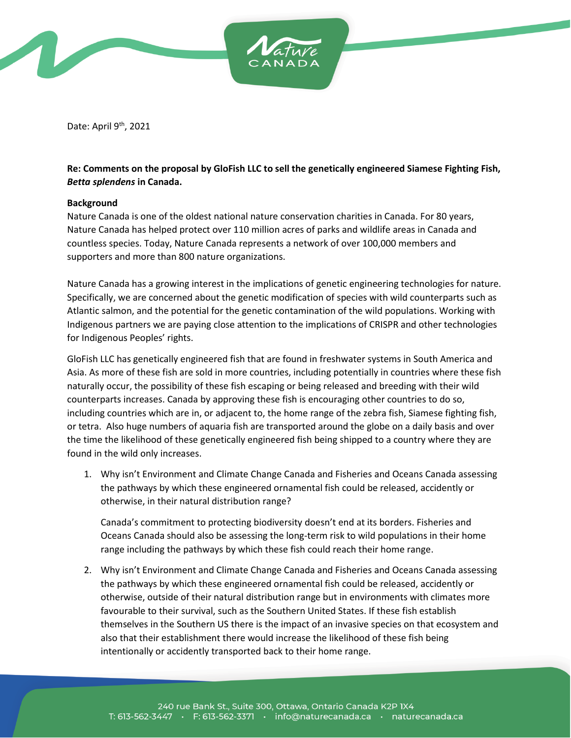

Date: April 9<sup>th</sup>, 2021

## **Re: Comments on the proposal by GloFish LLC to sell the genetically engineered Siamese Fighting Fish,**  *Betta splendens* **in Canada.**

## **Background**

Nature Canada is one of the oldest national nature conservation charities in Canada. For 80 years, Nature Canada has helped protect over 110 million acres of parks and wildlife areas in Canada and countless species. Today, Nature Canada represents a network of over 100,000 members and supporters and more than 800 nature organizations.

Nature Canada has a growing interest in the implications of genetic engineering technologies for nature. Specifically, we are concerned about the genetic modification of species with wild counterparts such as Atlantic salmon, and the potential for the genetic contamination of the wild populations. Working with Indigenous partners we are paying close attention to the implications of CRISPR and other technologies for Indigenous Peoples' rights.

GloFish LLC has genetically engineered fish that are found in freshwater systems in South America and Asia. As more of these fish are sold in more countries, including potentially in countries where these fish naturally occur, the possibility of these fish escaping or being released and breeding with their wild counterparts increases. Canada by approving these fish is encouraging other countries to do so, including countries which are in, or adjacent to, the home range of the zebra fish, Siamese fighting fish, or tetra. Also huge numbers of aquaria fish are transported around the globe on a daily basis and over the time the likelihood of these genetically engineered fish being shipped to a country where they are found in the wild only increases.

1. Why isn't Environment and Climate Change Canada and Fisheries and Oceans Canada assessing the pathways by which these engineered ornamental fish could be released, accidently or otherwise, in their natural distribution range?

Canada's commitment to protecting biodiversity doesn't end at its borders. Fisheries and Oceans Canada should also be assessing the long-term risk to wild populations in their home range including the pathways by which these fish could reach their home range.

2. Why isn't Environment and Climate Change Canada and Fisheries and Oceans Canada assessing the pathways by which these engineered ornamental fish could be released, accidently or otherwise, outside of their natural distribution range but in environments with climates more favourable to their survival, such as the Southern United States. If these fish establish themselves in the Southern US there is the impact of an invasive species on that ecosystem and also that their establishment there would increase the likelihood of these fish being intentionally or accidently transported back to their home range.